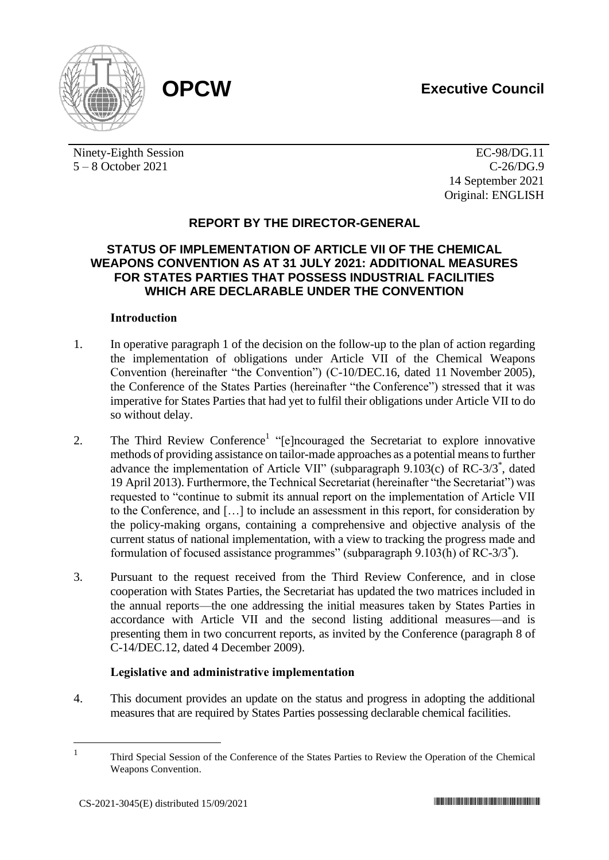

Ninety-Eighth Session 5 – 8 October 2021

EC-98/DG.11 C-26/DG.9 14 September 2021 Original: ENGLISH

## **REPORT BY THE DIRECTOR-GENERAL**

### **STATUS OF IMPLEMENTATION OF ARTICLE VII OF THE CHEMICAL WEAPONS CONVENTION AS AT 31 JULY 2021: ADDITIONAL MEASURES FOR STATES PARTIES THAT POSSESS INDUSTRIAL FACILITIES WHICH ARE DECLARABLE UNDER THE CONVENTION**

### **Introduction**

- 1. In operative paragraph 1 of the decision on the follow-up to the plan of action regarding the implementation of obligations under Article VII of the Chemical Weapons Convention (hereinafter "the Convention") (C-10/DEC.16, dated 11 November 2005), the Conference of the States Parties (hereinafter "the Conference") stressed that it was imperative for States Parties that had yet to fulfil their obligations under Article VII to do so without delay.
- 2. The Third Review Conference<sup>1</sup> "[e]ncouraged the Secretariat to explore innovative methods of providing assistance on tailor-made approaches as a potential means to further advance the implementation of Article VII" (subparagraph 9.103(c) of RC-3/3<sup>\*</sup>, dated 19 April 2013). Furthermore, the Technical Secretariat (hereinafter "the Secretariat") was requested to "continue to submit its annual report on the implementation of Article VII to the Conference, and […] to include an assessment in this report, for consideration by the policy-making organs, containing a comprehensive and objective analysis of the current status of national implementation, with a view to tracking the progress made and formulation of focused assistance programmes" (subparagraph 9.103(h) of RC-3/3<sup>\*</sup>).
- 3. Pursuant to the request received from the Third Review Conference, and in close cooperation with States Parties, the Secretariat has updated the two matrices included in the annual reports—the one addressing the initial measures taken by States Parties in accordance with Article VII and the second listing additional measures—and is presenting them in two concurrent reports, as invited by the Conference (paragraph 8 of C-14/DEC.12, dated 4 December 2009).

### **Legislative and administrative implementation**

4. This document provides an update on the status and progress in adopting the additional measures that are required by States Parties possessing declarable chemical facilities.

<sup>1</sup> Third Special Session of the Conference of the States Parties to Review the Operation of the Chemical Weapons Convention.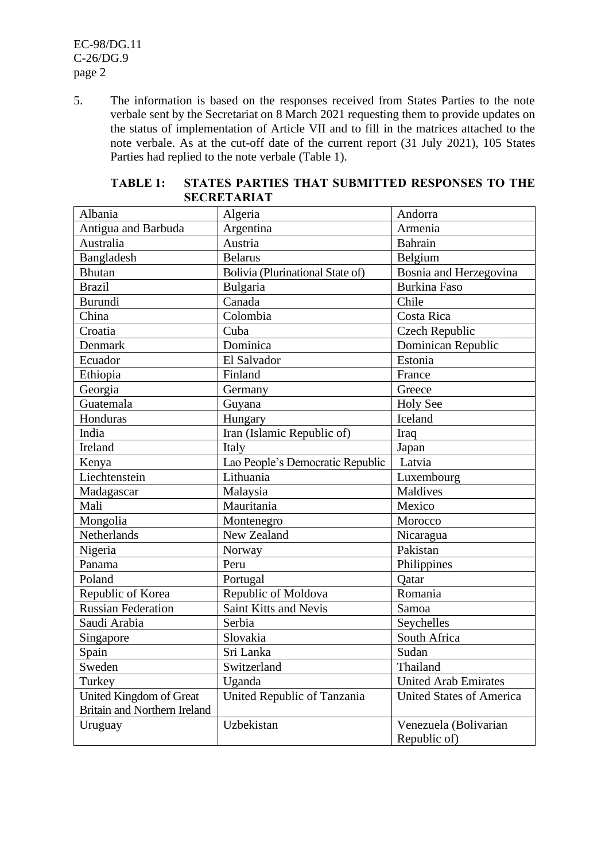EC-98/DG.11 C-26/DG.9 page 2

5. The information is based on the responses received from States Parties to the note verbale sent by the Secretariat on 8 March 2021 requesting them to provide updates on the status of implementation of Article VII and to fill in the matrices attached to the note verbale. As at the cut-off date of the current report (31 July 2021), 105 States Parties had replied to the note verbale (Table 1).

| Albania                      | Algeria                          | Andorra                         |
|------------------------------|----------------------------------|---------------------------------|
| Antigua and Barbuda          | Argentina                        | Armenia                         |
| Australia                    | Austria                          | Bahrain                         |
| Bangladesh                   | <b>Belarus</b>                   | Belgium                         |
| <b>Bhutan</b>                | Bolivia (Plurinational State of) | Bosnia and Herzegovina          |
| <b>Brazil</b>                | Bulgaria                         | <b>Burkina Faso</b>             |
| <b>Burundi</b>               | Canada                           | Chile                           |
| China                        | Colombia                         | Costa Rica                      |
| Croatia                      | Cuba                             | Czech Republic                  |
| Denmark                      | Dominica                         | Dominican Republic              |
| Ecuador                      | El Salvador                      | Estonia                         |
| Ethiopia                     | Finland                          | France                          |
| Georgia                      | Germany                          | Greece                          |
| Guatemala                    | Guyana                           | <b>Holy See</b>                 |
| Honduras                     | Hungary                          | Iceland                         |
| India                        | Iran (Islamic Republic of)       | Iraq                            |
| Ireland                      | Italy                            | Japan                           |
| Kenya                        | Lao People's Democratic Republic | Latvia                          |
| Liechtenstein                | Lithuania                        | Luxembourg                      |
| Madagascar                   | Malaysia                         | <b>Maldives</b>                 |
| Mali                         | Mauritania                       | Mexico                          |
| Mongolia                     | Montenegro                       | Morocco                         |
| Netherlands                  | New Zealand                      | Nicaragua                       |
| Nigeria                      | Norway                           | Pakistan                        |
| Panama                       | Peru                             | Philippines                     |
| Poland                       | Portugal                         | Qatar                           |
| Republic of Korea            | Republic of Moldova              | Romania                         |
| <b>Russian Federation</b>    | Saint Kitts and Nevis            | Samoa                           |
| Saudi Arabia                 | Serbia                           | Seychelles                      |
| Singapore                    | Slovakia                         | South Africa                    |
| Spain                        | Sri Lanka                        | Sudan                           |
| Sweden                       | Switzerland                      | Thailand                        |
| Turkey                       | Uganda                           | <b>United Arab Emirates</b>     |
| United Kingdom of Great      | United Republic of Tanzania      | <b>United States of America</b> |
| Britain and Northern Ireland |                                  |                                 |
| Uruguay                      | Uzbekistan                       | Venezuela (Bolivarian           |
|                              |                                  | Republic of)                    |

### **TABLE 1: STATES PARTIES THAT SUBMITTED RESPONSES TO THE SECRETARIAT**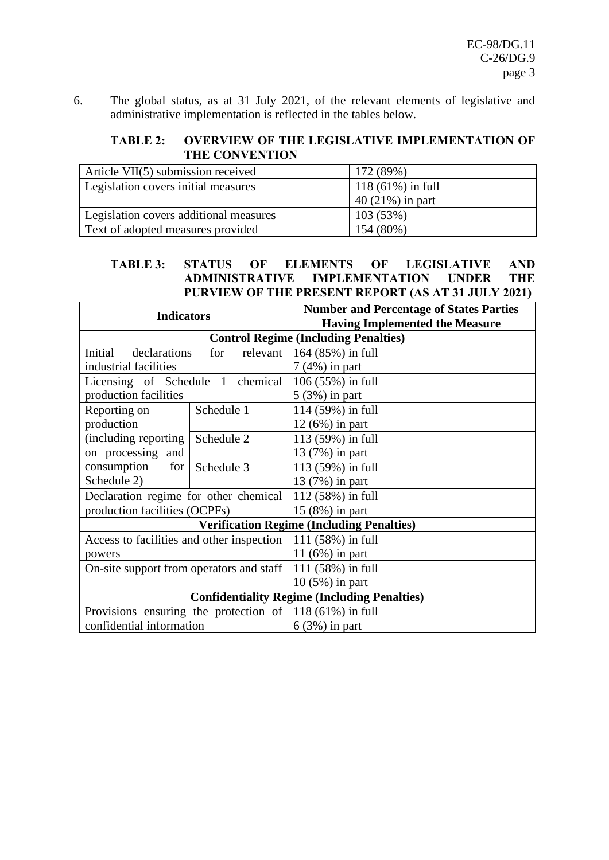6. The global status, as at 31 July 2021, of the relevant elements of legislative and administrative implementation is reflected in the tables below.

### **TABLE 2: OVERVIEW OF THE LEGISLATIVE IMPLEMENTATION OF THE CONVENTION**

| Article VII(5) submission received       | 172 (89%)           |
|------------------------------------------|---------------------|
| Legislation covers initial measures      | $118(61\%)$ in full |
|                                          | $40(21\%)$ in part  |
| Legislation covers additional measures   | 103(53%)            |
| <b>Text of adopted measures provided</b> | 154 (80%)           |

### **TABLE 3: STATUS OF ELEMENTS OF LEGISLATIVE AND ADMINISTRATIVE IMPLEMENTATION UNDER THE PURVIEW OF THE PRESENT REPORT (AS AT 31 JULY 2021)**

| <b>Indicators</b>                                            | <b>Number and Percentage of States Parties</b>      |
|--------------------------------------------------------------|-----------------------------------------------------|
|                                                              | <b>Having Implemented the Measure</b>               |
|                                                              | <b>Control Regime (Including Penalties)</b>         |
| Initial<br>declarations<br>relevant<br>for                   | 164 (85%) in full                                   |
| industrial facilities                                        | $7(4%)$ in part                                     |
| Licensing of Schedule 1 chemical                             | 106 (55%) in full                                   |
| production facilities                                        | $5(3%)$ in part                                     |
| Reporting on<br>Schedule 1                                   | 114 (59%) in full                                   |
| production                                                   | $12(6%)$ in part                                    |
| (including reporting)<br>Schedule 2                          | 113 (59%) in full                                   |
| on processing and                                            | 13 (7%) in part                                     |
| consumption<br>for<br>Schedule 3                             | 113 (59%) in full                                   |
| Schedule 2)                                                  | 13 (7%) in part                                     |
| Declaration regime for other chemical                        | 112 (58%) in full                                   |
| production facilities (OCPFs)                                | $15(8\%)$ in part                                   |
|                                                              | <b>Verification Regime (Including Penalties)</b>    |
| Access to facilities and other inspection                    | 111 $(58%)$ in full                                 |
| powers                                                       | 11 $(6%)$ in part                                   |
| On-site support from operators and staff                     | 111 (58%) in full                                   |
|                                                              | $10(5\%)$ in part                                   |
|                                                              | <b>Confidentiality Regime (Including Penalties)</b> |
| Provisions ensuring the protection of $  118 (61\%)$ in full |                                                     |
| confidential information                                     | $6(3%)$ in part                                     |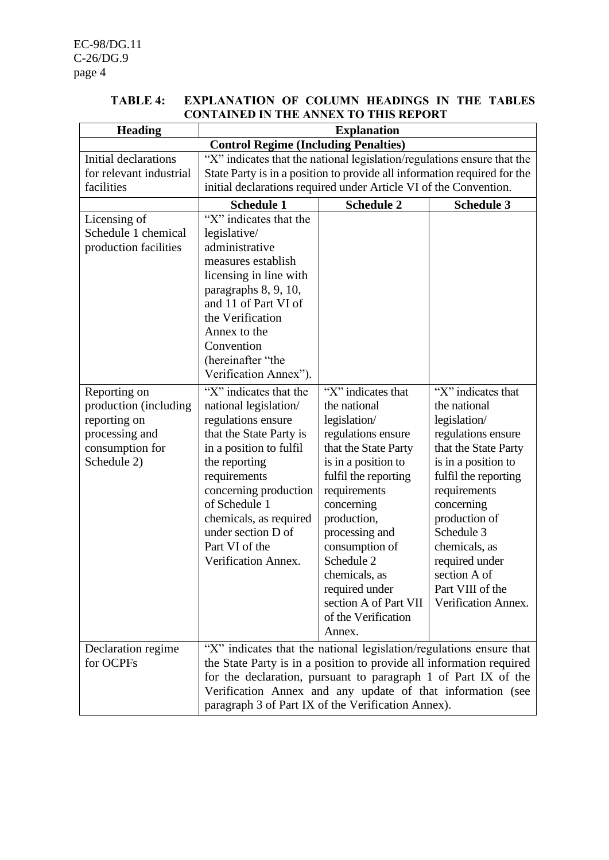### **TABLE 4: EXPLANATION OF COLUMN HEADINGS IN THE TABLES CONTAINED IN THE ANNEX TO THIS REPORT**

| <b>Heading</b>                                                                                             |                                                                                                                                                                                                                                                                                                                                   | <b>Explanation</b>                                                                                                                                                                                                                                                                                                                          |                                                                                                                                                                                                                                                                                                            |
|------------------------------------------------------------------------------------------------------------|-----------------------------------------------------------------------------------------------------------------------------------------------------------------------------------------------------------------------------------------------------------------------------------------------------------------------------------|---------------------------------------------------------------------------------------------------------------------------------------------------------------------------------------------------------------------------------------------------------------------------------------------------------------------------------------------|------------------------------------------------------------------------------------------------------------------------------------------------------------------------------------------------------------------------------------------------------------------------------------------------------------|
|                                                                                                            | <b>Control Regime (Including Penalties)</b>                                                                                                                                                                                                                                                                                       |                                                                                                                                                                                                                                                                                                                                             |                                                                                                                                                                                                                                                                                                            |
| Initial declarations<br>for relevant industrial<br>facilities                                              | "X" indicates that the national legislation/regulations ensure that the<br>State Party is in a position to provide all information required for the<br>initial declarations required under Article VI of the Convention.                                                                                                          |                                                                                                                                                                                                                                                                                                                                             |                                                                                                                                                                                                                                                                                                            |
|                                                                                                            | <b>Schedule 1</b>                                                                                                                                                                                                                                                                                                                 | <b>Schedule 2</b>                                                                                                                                                                                                                                                                                                                           | <b>Schedule 3</b>                                                                                                                                                                                                                                                                                          |
| Licensing of<br>Schedule 1 chemical<br>production facilities                                               | "X" indicates that the<br>legislative/<br>administrative<br>measures establish<br>licensing in line with<br>paragraphs 8, 9, 10,<br>and 11 of Part VI of<br>the Verification<br>Annex to the<br>Convention<br>(hereinafter "the<br>Verification Annex").                                                                          |                                                                                                                                                                                                                                                                                                                                             |                                                                                                                                                                                                                                                                                                            |
| Reporting on<br>production (including)<br>reporting on<br>processing and<br>consumption for<br>Schedule 2) | "X" indicates that the<br>national legislation/<br>regulations ensure<br>that the State Party is<br>in a position to fulfil<br>the reporting<br>requirements<br>concerning production<br>of Schedule 1<br>chemicals, as required<br>under section D of<br>Part VI of the<br>Verification Annex.                                   | "X" indicates that<br>the national<br>legislation/<br>regulations ensure<br>that the State Party<br>is in a position to<br>fulfil the reporting<br>requirements<br>concerning<br>production,<br>processing and<br>consumption of<br>Schedule 2<br>chemicals, as<br>required under<br>section A of Part VII<br>of the Verification<br>Annex. | "X" indicates that<br>the national<br>legislation/<br>regulations ensure<br>that the State Party<br>is in a position to<br>fulfil the reporting<br>requirements<br>concerning<br>production of<br>Schedule 3<br>chemicals, as<br>required under<br>section A of<br>Part VIII of the<br>Verification Annex. |
| Declaration regime<br>for OCPFs                                                                            | "X" indicates that the national legislation/regulations ensure that<br>the State Party is in a position to provide all information required<br>for the declaration, pursuant to paragraph 1 of Part IX of the<br>Verification Annex and any update of that information (see<br>paragraph 3 of Part IX of the Verification Annex). |                                                                                                                                                                                                                                                                                                                                             |                                                                                                                                                                                                                                                                                                            |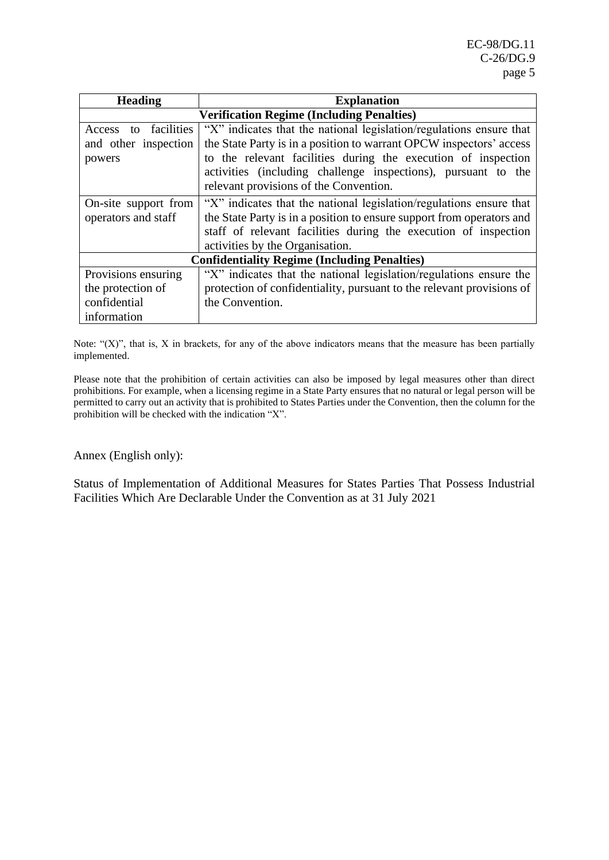| <b>Heading</b>       | <b>Explanation</b>                                                    |
|----------------------|-----------------------------------------------------------------------|
|                      | <b>Verification Regime (Including Penalties)</b>                      |
| Access to facilities | "X" indicates that the national legislation/regulations ensure that   |
| and other inspection | the State Party is in a position to warrant OPCW inspectors' access   |
| powers               | to the relevant facilities during the execution of inspection         |
|                      | activities (including challenge inspections), pursuant to the         |
|                      | relevant provisions of the Convention.                                |
| On-site support from | "X" indicates that the national legislation/regulations ensure that   |
| operators and staff  | the State Party is in a position to ensure support from operators and |
|                      | staff of relevant facilities during the execution of inspection       |
|                      | activities by the Organisation.                                       |
|                      | <b>Confidentiality Regime (Including Penalties)</b>                   |
| Provisions ensuring  | "X" indicates that the national legislation/regulations ensure the    |
| the protection of    | protection of confidentiality, pursuant to the relevant provisions of |
| confidential         | the Convention.                                                       |
| information          |                                                                       |

Note: " $(X)$ ", that is, X in brackets, for any of the above indicators means that the measure has been partially implemented.

Please note that the prohibition of certain activities can also be imposed by legal measures other than direct prohibitions. For example, when a licensing regime in a State Party ensures that no natural or legal person will be permitted to carry out an activity that is prohibited to States Parties under the Convention, then the column for the prohibition will be checked with the indication "X".

Annex (English only):

Status of Implementation of Additional Measures for States Parties That Possess Industrial Facilities Which Are Declarable Under the Convention as at 31 July 2021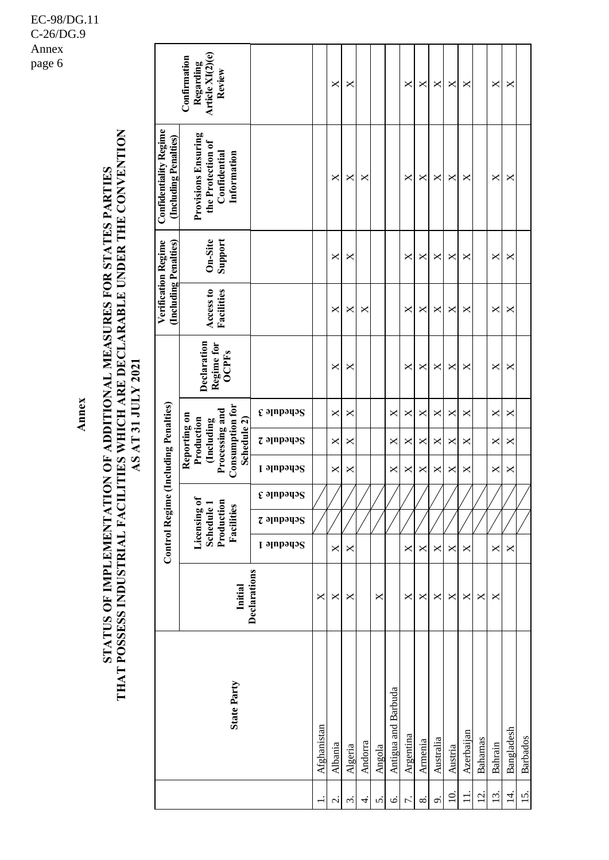# STATUS OF IMPLEMENTATION OF ADDITIONAL MEASURES FOR STATES PARTIES<br>THAT POSSESS INDUSTRIAL FACILITIES WHICH ARE DECLARABLE UNDER THE CONVENTION **THAT POSSESS INDUSTRIAL FACILITIES WHICH ARE DECLARABLE UNDER THE CONVENTION STATUS OF IMPLEMENTATION OF ADDITIONAL MEASURES FOR STATES PARTIES** AS AT 31 JULY 2021 **AS AT 31 JULY 2021**

**Annex**

|                                                        | Article XI(2)(e)<br>Confirmation<br>Regarding<br>Review                                             |                                                                                                                         |             | ×                        | ×                 |         |        |                     | X         | X        | $\mathsf{X}$ | ×              | ×          |                  | X            | ×          |                 |
|--------------------------------------------------------|-----------------------------------------------------------------------------------------------------|-------------------------------------------------------------------------------------------------------------------------|-------------|--------------------------|-------------------|---------|--------|---------------------|-----------|----------|--------------|----------------|------------|------------------|--------------|------------|-----------------|
| <b>Confidentiality Regime</b><br>(Including Penalties) | <b>Provisions Ensuring</b><br>the Protection of<br>Confidential<br>Information                      |                                                                                                                         |             | ×                        | X                 | ×       |        |                     | X         | X        | X            | ×              | X          |                  | X            | ×          |                 |
|                                                        | Support<br>On-Site                                                                                  |                                                                                                                         |             | ×                        | ×                 |         |        |                     | X         | X        | X            | ×              | X          |                  | $\mathsf{X}$ | ×          |                 |
| Verification Regime<br>(Including Penalties)           | Access to<br>Facilities                                                                             |                                                                                                                         |             | ×                        | ×                 | ×       |        |                     | X         | ×        | X            | ×              | X          |                  | X            | ×          |                 |
|                                                        | Declaration<br>Regime for<br><b>OCPFs</b>                                                           |                                                                                                                         |             | ×                        | ×                 |         |        |                     | X         | ×        | ×            | ×              | ×          |                  | ×            | ×          |                 |
|                                                        |                                                                                                     | $\boldsymbol{\mathfrak{g}}$ ə $\boldsymbol{\mathfrak{g}}$ ə $\boldsymbol{\mathfrak{g}}$ ə $\boldsymbol{\mathfrak{g}}$   |             | X                        | X                 |         |        | X                   | X         | X        | X            | ×              | X          |                  | X            | X          |                 |
|                                                        | <b>Consumption for</b><br>Processing and<br>Reporting on<br>Schedule 2)<br>Production<br>(Including | $z$ ə $np$ əyə $s$                                                                                                      |             | X                        | ×                 |         |        | X                   | ×         | ×        | X            | ×              | ×          |                  | X            | ×          |                 |
| ie (Including Penalties)                               |                                                                                                     | L əlubədə2                                                                                                              |             | X                        | X                 |         |        | X                   | X         | $\times$ | $\times$     | X              | X          |                  | X            | X          |                 |
|                                                        |                                                                                                     | $\boldsymbol{\mathfrak{e}}$ ə $\boldsymbol{\mathfrak{p}}$ ə $\boldsymbol{\mathfrak{p}}$ əyə $\boldsymbol{\mathfrak{p}}$ |             |                          |                   |         |        |                     |           |          |              |                |            |                  |              |            |                 |
| <b>Control Regim</b>                                   | Licensing of<br>Production<br>Schedule 1<br>Facilities                                              | $z$ ə $p$ pəq $p$                                                                                                       |             |                          |                   |         |        |                     |           |          |              |                |            |                  |              |            |                 |
|                                                        |                                                                                                     | Schedule 1                                                                                                              |             | X                        | X                 |         |        |                     | X         | $\times$ | $\times$     | ×              | X          |                  | X            | X          |                 |
|                                                        | Initial                                                                                             | Declarations                                                                                                            | ×           | ×                        | ×                 |         | X      |                     | X         | X        | X            | ×              | ×          | ×                | X            |            |                 |
|                                                        | <b>State Party</b>                                                                                  |                                                                                                                         | Afghanistan | Albania                  | Algeria           | Andorra | Angola | Antigua and Barbuda | Argentina | Armenia  | Australia    | Austria        | Azerbaijan | <b>Bahamas</b>   | Bahrain      | Bangladesh | <b>Barbados</b> |
|                                                        |                                                                                                     |                                                                                                                         |             | $\overline{\mathcal{C}}$ | $\dot{\tilde{3}}$ | 4.      | 5.     | Ö                   | 7.        | $\infty$ | c,           | $\overline{a}$ | $\exists$  | $\overline{2}$ . | 13.          | $\vec{4}$  | 15.             |

### EC-98/DG.11 C-26/DG.9 Annex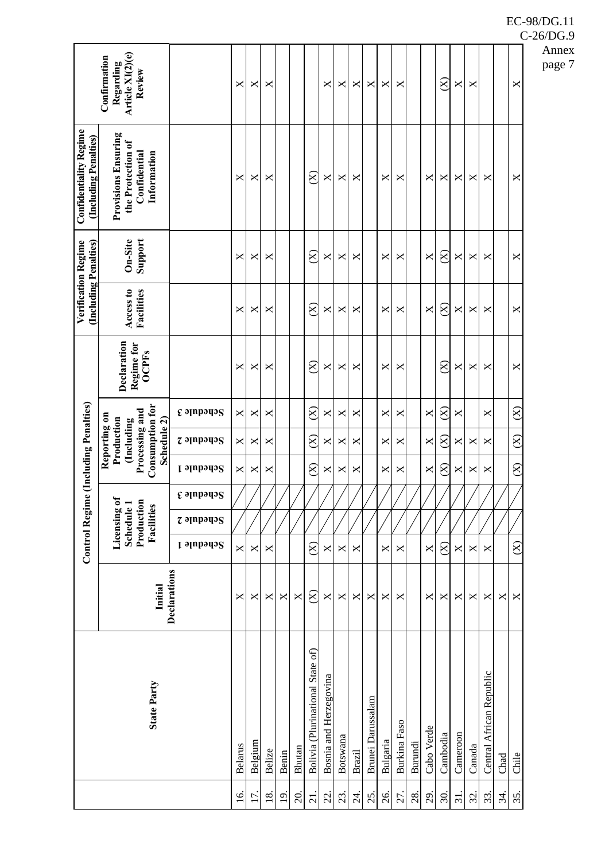|                   |                                  |              | <b>Control Regim</b> |                                                        |                               | e (Including Penalties) |                                                                                 |                                                                 |                                           | (Including Penalties)   | Verification Regime | <b>Confidentiality Regime</b><br>(Including Penalties)                         |                                                         |
|-------------------|----------------------------------|--------------|----------------------|--------------------------------------------------------|-------------------------------|-------------------------|---------------------------------------------------------------------------------|-----------------------------------------------------------------|-------------------------------------------|-------------------------|---------------------|--------------------------------------------------------------------------------|---------------------------------------------------------|
|                   | <b>State Party</b>               | Initial      |                      | Licensing of<br>Schedule 1<br>Production<br>Facilities |                               | Consumption for         | Processing and<br>Reporting on<br>Production<br>Schedule 2)<br><b>Including</b> |                                                                 | Declaration<br>Regime for<br><b>OCPFs</b> | Access to<br>Facilities | Support<br>On-Site  | <b>Provisions Ensuring</b><br>the Protection of<br>Confidential<br>Information | Article XI(2)(e)<br>Confirmation<br>Regarding<br>Review |
|                   |                                  | Declarations | Schedule 1           | <b><i>z</i></b> əlubədə2                               | $\epsilon$ alubado $\epsilon$ | <b>Schedule 1</b>       | $z$ ə $p$ əpə $q$ ə $S$                                                         | $\mathfrak e$ ə $\mathfrak p$ npə $\mathfrak q$ ə $\mathfrak S$ |                                           |                         |                     |                                                                                |                                                         |
| 16.               | <b>Belarus</b>                   | ×            | ×                    |                                                        |                               | ×                       | ×                                                                               | ×                                                               | ×                                         | ×                       | X                   | X                                                                              | X                                                       |
| 17.               | Belgium                          | ×            | ×                    |                                                        |                               | ×                       | ×                                                                               | ×                                                               | ×                                         | ×                       | ×                   | ×                                                                              | ×                                                       |
| $\frac{8}{18}$    | Belize                           | ×            | ×                    |                                                        |                               | ×                       | ×                                                                               | ×                                                               | ×                                         | ×                       | $\times$            | ×                                                                              | ×                                                       |
| $\overline{9}$    | Benin                            | X            |                      |                                                        |                               |                         |                                                                                 |                                                                 |                                           |                         |                     |                                                                                |                                                         |
| $\overline{20}$   | Bhutan                           | X            |                      |                                                        |                               |                         |                                                                                 |                                                                 |                                           |                         |                     |                                                                                |                                                         |
| $\overline{2}$    | Bolivia (Plurinational State of) | $\otimes$    | $\otimes$            |                                                        |                               | $\widehat{\otimes}$     | $\otimes$                                                                       | $8\,$                                                           | $\otimes$                                 | $\otimes$               | $\otimes$           | $\otimes$                                                                      |                                                         |
| 22.               | Bosnia and Herzegovina           | X            | ×                    |                                                        |                               | X                       | ×                                                                               | ×                                                               | X                                         | X                       | X                   | $\times$                                                                       | X                                                       |
| 23.               | Botswana                         | ×            | ×                    |                                                        |                               | X                       | ×                                                                               | ×                                                               | ×                                         | ×                       | X                   | X                                                                              | ×                                                       |
| $\overline{24}$ . | <b>Brazil</b>                    | ×            | X                    |                                                        |                               | ×                       | ×                                                                               | ×                                                               | $\boldsymbol{\mathsf{X}}$                 | ×                       | ×                   | ×                                                                              | $\pmb{\times}$                                          |
| 25.               | <b>Brunei Darussalam</b>         | ×            |                      |                                                        |                               |                         |                                                                                 |                                                                 |                                           |                         |                     |                                                                                | X                                                       |
| 26.               | Bulgaria                         | ×            | X                    |                                                        |                               | X                       | ×                                                                               | X                                                               | X                                         | X                       | X                   | ×                                                                              | X                                                       |
| 27.               | <b>Burkina</b> Faso              | $\times$     | ×                    |                                                        |                               | ×                       | ×                                                                               | $\times$                                                        | ×                                         | ×                       | $\times$            | $\times$                                                                       | ×                                                       |
| 28.               | Burundi                          |              |                      |                                                        |                               |                         |                                                                                 |                                                                 |                                           |                         |                     |                                                                                |                                                         |
| 29.               | Cabo Verde                       | ×            | X                    |                                                        |                               | X                       | X                                                                               | X                                                               |                                           | X                       | X                   | ×                                                                              |                                                         |
| 30.               | Cambodia                         | ×            | $8\,$                |                                                        |                               | $\otimes$               | $8\,$                                                                           | $\otimes$                                                       | $\otimes$                                 | $\otimes$               | $\otimes$           | ×                                                                              | $\otimes$                                               |
| 31.               | Cameroon                         | X            | X                    |                                                        |                               | X                       | ×                                                                               | ×                                                               | X                                         | ×                       | X                   | X                                                                              | X                                                       |
| 32.               | Canada                           | X            | X                    |                                                        |                               | X                       | ×                                                                               |                                                                 | X                                         | X                       | X                   | X                                                                              | X                                                       |
| 33.               | Central African Republic         | ×            | ×                    |                                                        |                               | ×                       | ×                                                                               | X                                                               | $\times$                                  | ×                       | $\times$            | ×                                                                              |                                                         |
| 34.               | Chad                             | X            |                      |                                                        |                               |                         |                                                                                 |                                                                 |                                           |                         |                     |                                                                                |                                                         |
| 35.               | Chile                            | X            | $\otimes$            |                                                        |                               | $\otimes$               | $\otimes$                                                                       | $\otimes$                                                       | ×                                         | X                       | X                   | ×                                                                              | ×                                                       |
|                   |                                  |              |                      |                                                        |                               |                         |                                                                                 |                                                                 |                                           |                         |                     |                                                                                |                                                         |

# C-26/DG.9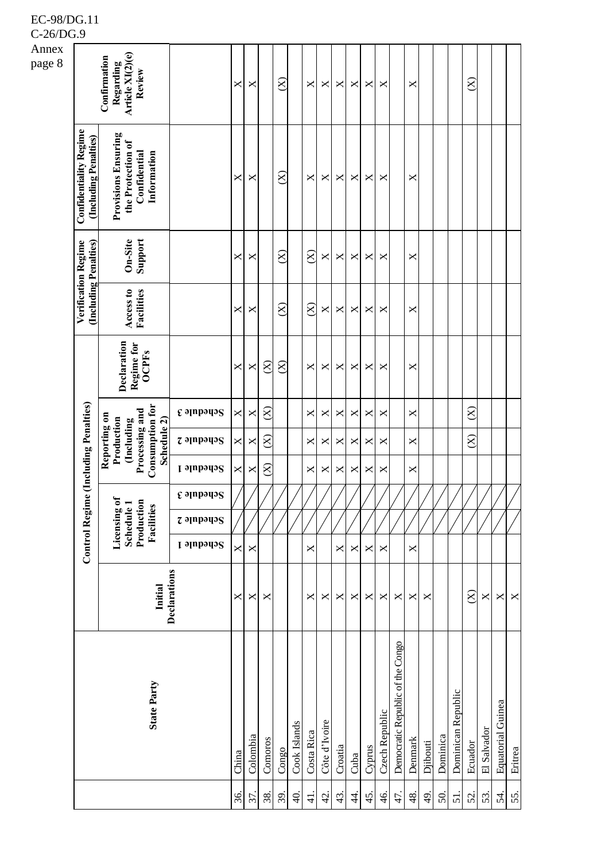| Annex<br>page 8 |                                                        | Article XI(2)(e)<br>Confirmation<br>Regarding<br>Review                                             |                                   | ×     | ×        |           | $\otimes$           |                | X             | ×             | X       | ×          | ×      | ×              |                                  | ×       |          |          |                    | $\otimes$ |             |                          |                       |
|-----------------|--------------------------------------------------------|-----------------------------------------------------------------------------------------------------|-----------------------------------|-------|----------|-----------|---------------------|----------------|---------------|---------------|---------|------------|--------|----------------|----------------------------------|---------|----------|----------|--------------------|-----------|-------------|--------------------------|-----------------------|
|                 | <b>Confidentiality Regime</b><br>(Including Penalties) | <b>Provisions Ensuring</b><br>the Protection of<br>Information<br>Confidential                      |                                   | ×     | ×        |           | $\widehat{\otimes}$ |                | ×             | X             | X       | ×          | X      | ×              |                                  | ×       |          |          |                    |           |             |                          |                       |
|                 | Verification Regime                                    | Support<br>On-Site                                                                                  |                                   | ×     | ×        |           | $\otimes$           |                | $\otimes$     | X             | X       | ×          | X      | ×              |                                  | ×       |          |          |                    |           |             |                          |                       |
|                 | (Including Penalties)                                  | Access to<br>Facilities                                                                             |                                   | ×     | ×        |           | $\otimes$           |                | $\otimes$     | X             | X       | ×          | ×      | ×              |                                  | ×       |          |          |                    |           |             |                          |                       |
|                 |                                                        | Declaration<br>Regime for<br><b>OCPFs</b>                                                           |                                   | ×     | X        | $\otimes$ | $\otimes$           |                | X             | X             | X       | ×          | ×      | ×              |                                  | ×       |          |          |                    |           |             |                          |                       |
|                 |                                                        |                                                                                                     | <b><i>E</i></b> stubeds           | ×     | ×        | $\otimes$ |                     |                | X             | ×             | ×       | ×          | ×      | $\times$       |                                  | ×       |          |          |                    | $\otimes$ |             |                          |                       |
|                 |                                                        | <b>Consumption for</b><br>Processing and<br>Reporting on<br>Production<br>Schedule 2)<br>(Including | <b><i><u>Z</u></i></b> oppopule 2 | ×     | ×        | $\otimes$ |                     |                | ×             | ×             | ×       | ×          | ×      | ×              |                                  | ×       |          |          |                    | $\otimes$ |             |                          |                       |
|                 | e (Including Penalties)                                |                                                                                                     | <b>L</b> slubsdo <sup>2</sup>     | ×     | ×        | $\otimes$ |                     |                | X             | ×             | X       | ×          | ×      | ×              |                                  | ×       |          |          |                    |           |             |                          |                       |
|                 |                                                        |                                                                                                     | $\epsilon$ alubado $\epsilon$     |       |          |           |                     |                |               |               |         |            |        |                |                                  |         |          |          |                    |           |             |                          |                       |
|                 |                                                        | Production<br>Licensing of<br>Schedule 1<br>Facilities                                              | $z$ apparis                       |       |          |           |                     |                |               |               |         |            |        |                |                                  |         |          |          |                    |           |             |                          |                       |
|                 | <b>Control Regime</b>                                  |                                                                                                     | Schedule 1                        | ×     | ×        |           |                     |                | ×             |               | ×       | ×          | X      | ×              |                                  | X       |          |          |                    |           |             |                          |                       |
|                 |                                                        | Initial                                                                                             | Declarations                      | ×     | ×        | ×         |                     |                | ×             | ×             | ×       | ×          | ×      | ×              | ×                                | X       | X        |          |                    | $\otimes$ | X           | X                        | $\boldsymbol{\times}$ |
|                 |                                                        | <b>State Party</b>                                                                                  |                                   | China | Colombia | Comoros   | Congo               | Cook Islands   | Costa Rica    | Côte d'Ivoire | Croatia | Cuba       | Cyprus | Czech Republic | Democratic Republic of the Congo | Denmark | Djibouti | Dominica | Dominican Republic | Ecuador   | El Salvador | <b>Equatorial Guinea</b> | Eritrea               |
|                 |                                                        |                                                                                                     |                                   | 36.   | 37.      | 38.       | 39.                 | $\overline{4}$ | $\frac{1}{4}$ | $\frac{1}{4}$ | 43.     | $\ddot{4}$ | 45.    | 46.            | 47.                              | 48      | 49.      | 50       | 51.                | 52.       | 53.         | 54.                      | 55.                   |

C-26/DG.9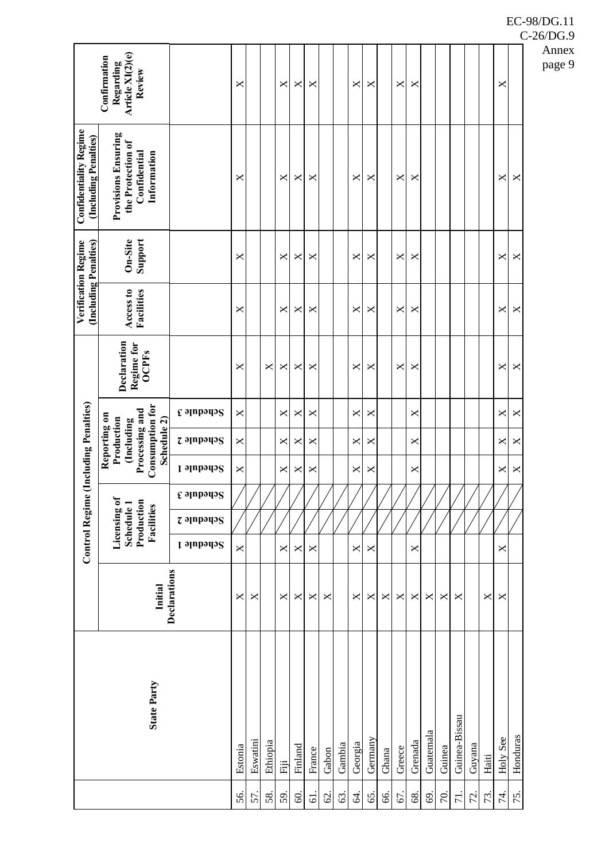| Article XI(2)(e)<br>Confirmation<br>Regarding<br>Review<br>X<br>X<br>X<br>X<br>×<br>$\times$<br>×<br>×<br>×<br><b>Provisions Ensuring</b><br>the Protection of<br>Information<br>Confidential<br>X<br>$\boldsymbol{\times}$<br>X<br>×<br>×<br>×<br>×<br>X<br>×<br>×<br>Support<br>On-Site<br>X<br>X<br>X<br>×<br>×<br>$\times$<br>×<br>×<br>X<br>×<br>Access to<br>Facilities<br>X<br>X<br>$\boldsymbol{\times}$<br>X<br>×<br>×<br>×<br>×<br>×<br>×<br>Declaration<br>Regime for<br><b>OCPFs</b><br>$\pmb{\times}$<br>×<br>X<br>X<br>×<br>×<br>×<br>×<br>×<br>×<br>×<br><b>Consumption for</b><br>Processing and<br>$\epsilon$ apparis<br>X<br>X<br>X<br>X<br>X<br>X<br>X<br>×<br>×<br>Reporting on<br>Schedule 2)<br>Production<br>(Including<br>$z$ ə $p$ əpə $q$ ə $S$<br>X<br>X<br>X<br>×<br>×<br>×<br>×<br>×<br>×<br>Schedule 1<br>$\pmb{\times}$<br>$\bowtie$<br>$\pmb{\times}$<br>X<br>X<br>$\boldsymbol{\mathsf{X}}$<br>X<br>$\boldsymbol{\times}$<br>$\boldsymbol{\mathsf{X}}$<br><b><i>E</i></b> slubbring<br>Licensing of<br>Schedule 1<br>Production<br>Facilities<br>$z$ apparis<br>Schedule 1<br>×<br>×<br>×<br>×<br>×<br>X<br>×<br>×<br>Declarations<br>Initial<br>X<br>$\pmb{\times}$<br>×<br>×<br>×<br>×<br>$\times$<br>×<br>×<br>×<br>×<br>$\times$<br>×<br>×<br>×<br>X<br><b>State Party</b><br>Guinea-Bissau<br>Guatemala<br>Honduras<br><b>Holy See</b><br>Germany<br>Eswatini<br>Ethiopia<br>Grenada<br>Georgia<br>Gambia<br>Guyana<br>Estonia<br>Finland<br>Guinea<br>Greece<br>France<br>Gabon<br>Ghana<br>Haiti<br>Fiji |  |  |  | <b>Control Regime (Including Penalties)</b> |  |  | (Including Penalties)<br>Verification Regime | <b>Confidentiality Regime</b><br>(Including Penalties) |  |
|--------------------------------------------------------------------------------------------------------------------------------------------------------------------------------------------------------------------------------------------------------------------------------------------------------------------------------------------------------------------------------------------------------------------------------------------------------------------------------------------------------------------------------------------------------------------------------------------------------------------------------------------------------------------------------------------------------------------------------------------------------------------------------------------------------------------------------------------------------------------------------------------------------------------------------------------------------------------------------------------------------------------------------------------------------------------------------------------------------------------------------------------------------------------------------------------------------------------------------------------------------------------------------------------------------------------------------------------------------------------------------------------------------------------------------------------------------------------------------------------------------------------------------------------------|--|--|--|---------------------------------------------|--|--|----------------------------------------------|--------------------------------------------------------|--|
|                                                                                                                                                                                                                                                                                                                                                                                                                                                                                                                                                                                                                                                                                                                                                                                                                                                                                                                                                                                                                                                                                                                                                                                                                                                                                                                                                                                                                                                                                                                                                  |  |  |  |                                             |  |  |                                              |                                                        |  |
|                                                                                                                                                                                                                                                                                                                                                                                                                                                                                                                                                                                                                                                                                                                                                                                                                                                                                                                                                                                                                                                                                                                                                                                                                                                                                                                                                                                                                                                                                                                                                  |  |  |  |                                             |  |  |                                              |                                                        |  |
|                                                                                                                                                                                                                                                                                                                                                                                                                                                                                                                                                                                                                                                                                                                                                                                                                                                                                                                                                                                                                                                                                                                                                                                                                                                                                                                                                                                                                                                                                                                                                  |  |  |  |                                             |  |  |                                              |                                                        |  |
|                                                                                                                                                                                                                                                                                                                                                                                                                                                                                                                                                                                                                                                                                                                                                                                                                                                                                                                                                                                                                                                                                                                                                                                                                                                                                                                                                                                                                                                                                                                                                  |  |  |  |                                             |  |  |                                              |                                                        |  |
|                                                                                                                                                                                                                                                                                                                                                                                                                                                                                                                                                                                                                                                                                                                                                                                                                                                                                                                                                                                                                                                                                                                                                                                                                                                                                                                                                                                                                                                                                                                                                  |  |  |  |                                             |  |  |                                              |                                                        |  |
|                                                                                                                                                                                                                                                                                                                                                                                                                                                                                                                                                                                                                                                                                                                                                                                                                                                                                                                                                                                                                                                                                                                                                                                                                                                                                                                                                                                                                                                                                                                                                  |  |  |  |                                             |  |  |                                              |                                                        |  |
|                                                                                                                                                                                                                                                                                                                                                                                                                                                                                                                                                                                                                                                                                                                                                                                                                                                                                                                                                                                                                                                                                                                                                                                                                                                                                                                                                                                                                                                                                                                                                  |  |  |  |                                             |  |  |                                              |                                                        |  |
|                                                                                                                                                                                                                                                                                                                                                                                                                                                                                                                                                                                                                                                                                                                                                                                                                                                                                                                                                                                                                                                                                                                                                                                                                                                                                                                                                                                                                                                                                                                                                  |  |  |  |                                             |  |  |                                              |                                                        |  |
|                                                                                                                                                                                                                                                                                                                                                                                                                                                                                                                                                                                                                                                                                                                                                                                                                                                                                                                                                                                                                                                                                                                                                                                                                                                                                                                                                                                                                                                                                                                                                  |  |  |  |                                             |  |  |                                              |                                                        |  |
|                                                                                                                                                                                                                                                                                                                                                                                                                                                                                                                                                                                                                                                                                                                                                                                                                                                                                                                                                                                                                                                                                                                                                                                                                                                                                                                                                                                                                                                                                                                                                  |  |  |  |                                             |  |  |                                              |                                                        |  |
|                                                                                                                                                                                                                                                                                                                                                                                                                                                                                                                                                                                                                                                                                                                                                                                                                                                                                                                                                                                                                                                                                                                                                                                                                                                                                                                                                                                                                                                                                                                                                  |  |  |  |                                             |  |  |                                              |                                                        |  |
|                                                                                                                                                                                                                                                                                                                                                                                                                                                                                                                                                                                                                                                                                                                                                                                                                                                                                                                                                                                                                                                                                                                                                                                                                                                                                                                                                                                                                                                                                                                                                  |  |  |  |                                             |  |  |                                              |                                                        |  |
|                                                                                                                                                                                                                                                                                                                                                                                                                                                                                                                                                                                                                                                                                                                                                                                                                                                                                                                                                                                                                                                                                                                                                                                                                                                                                                                                                                                                                                                                                                                                                  |  |  |  |                                             |  |  |                                              |                                                        |  |
|                                                                                                                                                                                                                                                                                                                                                                                                                                                                                                                                                                                                                                                                                                                                                                                                                                                                                                                                                                                                                                                                                                                                                                                                                                                                                                                                                                                                                                                                                                                                                  |  |  |  |                                             |  |  |                                              |                                                        |  |
|                                                                                                                                                                                                                                                                                                                                                                                                                                                                                                                                                                                                                                                                                                                                                                                                                                                                                                                                                                                                                                                                                                                                                                                                                                                                                                                                                                                                                                                                                                                                                  |  |  |  |                                             |  |  |                                              |                                                        |  |
|                                                                                                                                                                                                                                                                                                                                                                                                                                                                                                                                                                                                                                                                                                                                                                                                                                                                                                                                                                                                                                                                                                                                                                                                                                                                                                                                                                                                                                                                                                                                                  |  |  |  |                                             |  |  |                                              |                                                        |  |
|                                                                                                                                                                                                                                                                                                                                                                                                                                                                                                                                                                                                                                                                                                                                                                                                                                                                                                                                                                                                                                                                                                                                                                                                                                                                                                                                                                                                                                                                                                                                                  |  |  |  |                                             |  |  |                                              |                                                        |  |
|                                                                                                                                                                                                                                                                                                                                                                                                                                                                                                                                                                                                                                                                                                                                                                                                                                                                                                                                                                                                                                                                                                                                                                                                                                                                                                                                                                                                                                                                                                                                                  |  |  |  |                                             |  |  |                                              |                                                        |  |
|                                                                                                                                                                                                                                                                                                                                                                                                                                                                                                                                                                                                                                                                                                                                                                                                                                                                                                                                                                                                                                                                                                                                                                                                                                                                                                                                                                                                                                                                                                                                                  |  |  |  |                                             |  |  |                                              |                                                        |  |
|                                                                                                                                                                                                                                                                                                                                                                                                                                                                                                                                                                                                                                                                                                                                                                                                                                                                                                                                                                                                                                                                                                                                                                                                                                                                                                                                                                                                                                                                                                                                                  |  |  |  |                                             |  |  |                                              |                                                        |  |
|                                                                                                                                                                                                                                                                                                                                                                                                                                                                                                                                                                                                                                                                                                                                                                                                                                                                                                                                                                                                                                                                                                                                                                                                                                                                                                                                                                                                                                                                                                                                                  |  |  |  |                                             |  |  |                                              |                                                        |  |
|                                                                                                                                                                                                                                                                                                                                                                                                                                                                                                                                                                                                                                                                                                                                                                                                                                                                                                                                                                                                                                                                                                                                                                                                                                                                                                                                                                                                                                                                                                                                                  |  |  |  |                                             |  |  |                                              |                                                        |  |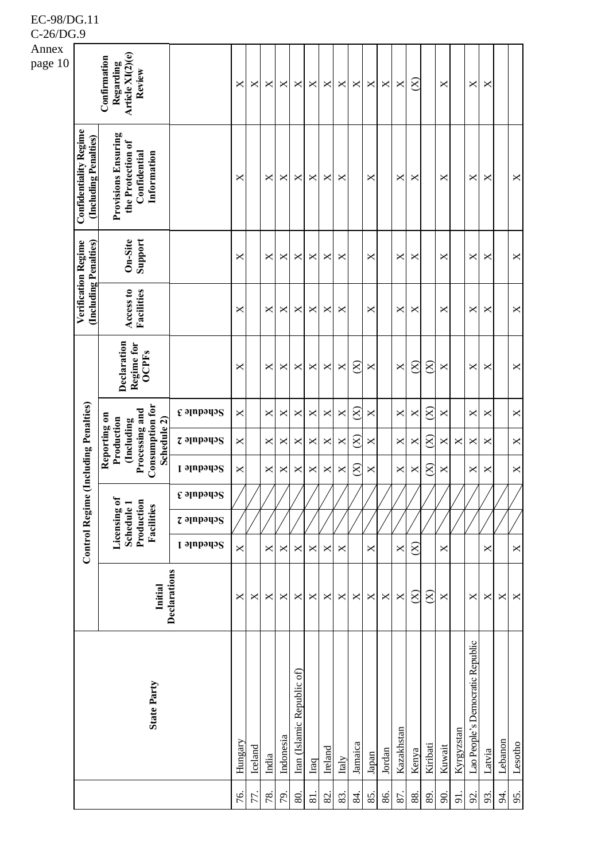|                  | ◡.                                                     |                                                                                                     |                                                    |          |         |              |           |                            |                |                |                |              |                           |        |                |           |           |                       |            |                                  |                |           |                |
|------------------|--------------------------------------------------------|-----------------------------------------------------------------------------------------------------|----------------------------------------------------|----------|---------|--------------|-----------|----------------------------|----------------|----------------|----------------|--------------|---------------------------|--------|----------------|-----------|-----------|-----------------------|------------|----------------------------------|----------------|-----------|----------------|
| Annex<br>page 10 |                                                        | Article XI(2)(e)<br>Confirmation<br>Regarding<br>Review                                             |                                                    | $\times$ | X       | $\mathsf{X}$ | X         | X                          | ×              | $\pmb{\times}$ | X              | X            | ×                         | ×      | $\pmb{\times}$ | $\otimes$ |           | ×                     |            | $\pmb{\times}$                   | X              |           |                |
|                  | <b>Confidentiality Regime</b><br>(Including Penalties) | <b>Provisions Ensuring</b><br>the Protection of<br>Confidential<br>Information                      |                                                    | ×        |         | X            | X         | X                          | ×              | ×              | ×              |              | $\boldsymbol{\times}$     |        | ×              | X         |           | X                     |            | X                                | X              |           | $\pmb{\times}$ |
|                  | Verification Regime                                    | Support<br>On-Site                                                                                  |                                                    | ×        |         | ×            | ×         | X                          | ×              | X              | ×              |              | ×                         |        | ×              | ×         |           | X                     |            | ×                                | X              |           | $\pmb{\times}$ |
|                  | (Including Penalties)                                  | Access to<br>Facilities                                                                             |                                                    | X        |         | $\mathsf{X}$ | X         | ×                          | ×              | ×              | X              |              | $\boldsymbol{\times}$     |        | ×              | X         |           | X                     |            | X                                | ×              |           | $\pmb{\times}$ |
|                  |                                                        | Declaration<br>Regime for<br><b>OCPFs</b>                                                           |                                                    | ×        |         | ×            | ×         | X                          | ×              | X              | $\mathsf{X}$   | $\otimes$    | X                         |        | X              | $\otimes$ | $\otimes$ | ×                     |            | ×                                | ×              |           | $\pmb{\times}$ |
|                  |                                                        |                                                                                                     | $\epsilon$ apparis                                 | ×        |         | X            | ×         | ×                          | ×              | X              | X              | $\otimes$    | ×                         |        | $\pmb{\times}$ | X         | $\otimes$ | ×                     |            | X                                | X              |           | $\times$       |
|                  |                                                        | <b>Consumption for</b><br>Processing and<br>Reporting on<br>Production<br>(Including<br>Schedule 2) | $z$ apparis                                        | ×        |         | X            | X         | X                          | ×              | X              | X              | $\otimes$    | X                         |        | X              | X         | $\otimes$ | $\times$              | X          | X                                | X              |           | X              |
|                  | (Including Penalties)                                  |                                                                                                     | <b>I</b> эlubədə2                                  | X        |         | X            | ×         | X                          | X              | $\pmb{\times}$ | $\pmb{\times}$ | $\otimes$    | $\boldsymbol{\mathsf{X}}$ |        | $\pmb{\times}$ | X         | $\otimes$ | X                     |            | X                                | $\pmb{\times}$ |           | $\pmb{\times}$ |
|                  |                                                        |                                                                                                     | $\mathfrak c$ ə $\mathfrak l$ npə $\mathfrak q$ əs |          |         |              |           |                            |                |                |                |              |                           |        |                |           |           |                       |            |                                  |                |           |                |
|                  | <b>Control Regime</b>                                  | Licensing of<br>Production<br>Schedule <sub>1</sub><br>Facilities                                   | $z$ appears                                        |          |         |              |           |                            |                |                |                |              |                           |        |                |           |           |                       |            |                                  |                |           |                |
|                  |                                                        |                                                                                                     | Schedule 1                                         | X        |         | X            | X         | ×                          | X              | $\times$       | X              |              | X                         |        | $\pmb{\times}$ | $\otimes$ |           | $\times$              |            |                                  | X              |           | $\pmb{\times}$ |
|                  |                                                        | Initial                                                                                             | Declarations                                       | ×        | X       | X            | ×         | ×                          | ×              | X              | X              | $\mathsf{X}$ | X                         | ×      | $\times$       | $\otimes$ | $\otimes$ | $\boldsymbol{\times}$ |            | X                                | ×              | ×         | $\mathsf{X}$   |
|                  |                                                        | <b>State Party</b>                                                                                  |                                                    | Hungary  | Iceland | India        | Indonesia | Iran (Islamic Republic of) | Iraq           | Ireland        | Italy          | Jamaica      | Japan                     | Jordan | Kazakhstan     | Kenya     | Kiribati  | Kuwait                | Kyrgyzstan | Lao People's Democratic Republic | Latvia         | Lebanon   | Lesotho        |
|                  |                                                        |                                                                                                     |                                                    | 76.      | 77.     | 78.          | 79.       | 80.                        | $\overline{8}$ | 82.            | 83.            | 84.          | 85.                       | 86.    | 87.            | 88.       | 89.       | $\infty$              | 91.        | 92.                              | 93.            | $\approx$ | 95.            |

C-26/DG.9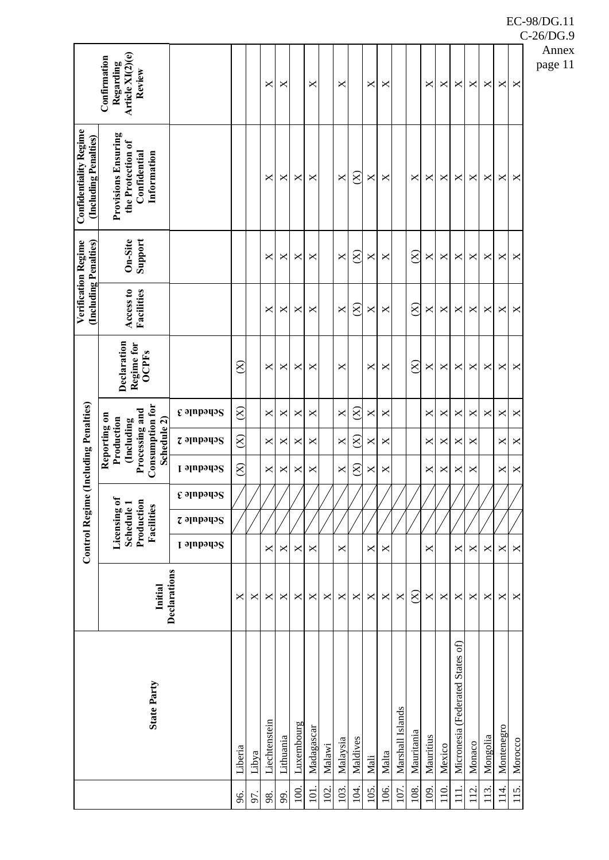|                                                        | Article XI(2)(e)<br>Confirmation<br>Regarding<br>Review                                      |                                      |                     |       | ×             | ×         |            | ×          |        | ×              |           | ×    | ×     |                  |               | X            | ×      | X                                | X      | ×        | X          | X       | p |
|--------------------------------------------------------|----------------------------------------------------------------------------------------------|--------------------------------------|---------------------|-------|---------------|-----------|------------|------------|--------|----------------|-----------|------|-------|------------------|---------------|--------------|--------|----------------------------------|--------|----------|------------|---------|---|
| <b>Confidentiality Regime</b><br>(Including Penalties) | <b>Provisions Ensuring</b><br>the Protection of<br>Confidential<br>Information               |                                      |                     |       | X             | ×         | ×          | X          |        | $\pmb{\times}$ | $\otimes$ | X    | ×     |                  | X             | X            | ×      | X                                | X      | ×        | ×          | X       |   |
|                                                        | Support<br>On-Site                                                                           |                                      |                     |       | ×             | ×         | ×          | ×          |        | $\pmb{\times}$ | $\otimes$ | ×    | ×     |                  | $\otimes$     | X            | ×      | ×                                | ×      | ×        | ×          | X       |   |
| (Including Penalties)<br>Verification Regime           | Access to<br>Facilities                                                                      |                                      |                     |       | X             | ×         | ×          | ×          |        | $\pmb{\times}$ | $\otimes$ | ×    | ×     |                  | $\otimes$     | X            | ×      | ×                                | ×      | ×        | ×          | X       |   |
|                                                        | Declaration<br>Regime for<br><b>OCPFs</b>                                                    |                                      | $\otimes$           |       | X             | ×         | ×          | ×          |        | ×              |           | ×    | ×     |                  | $\widehat{S}$ | X            | ×      | ×                                | ×      | ×        | ×          | ×       |   |
|                                                        |                                                                                              | $\epsilon$ ə $\mu$ pəqə $\mathrm{s}$ | $\otimes$           |       | X             | ×         | ×          | ×          |        | $\pmb{\times}$ | $\otimes$ | ×    | ×     |                  |               | $\mathsf{X}$ | ×      | ×                                | X      | X        | ×          | X       |   |
|                                                        | Consumption for<br>Processing and<br>Reporting on<br>Production<br>Schedule 2)<br>(Including | $z$ ə $p$ əpə $q$ ə $S$              | $\otimes$           |       | ×             | ×         | ×          | ×          |        | $\pmb{\times}$ | $\otimes$ | ×    | ×     |                  |               | X            | ×      | ×                                | ×      |          | ×          | ×       |   |
| e (Including Penalties)                                |                                                                                              | Schedule 1                           | $\widehat{\otimes}$ |       | ×             | ×         | ×          | ×          |        | $\pmb{\times}$ | $\otimes$ | X    | ×     |                  |               | X            | ×      | ×                                | ×      |          | ×          | X       |   |
|                                                        |                                                                                              | $\epsilon$ appears                   |                     |       |               |           |            |            |        |                |           |      |       |                  |               |              |        |                                  |        |          |            |         |   |
|                                                        | Production<br>Licensing o<br>Schedule 1<br>Facilities                                        | $z$ appears                          |                     |       |               |           |            |            |        |                |           |      |       |                  |               |              |        |                                  |        |          |            |         |   |
| <b>Control Regim</b>                                   |                                                                                              | Schedule 1                           |                     |       | ×             | ×         | ×          | ×          |        | $\pmb{\times}$ |           | ×    | ×     |                  |               | ×            |        | ×                                | ×      | ×        | ×          | X       |   |
|                                                        | Initial                                                                                      | Declarations                         | X                   | ×     | $\times$      | ×         | ×          | ×          | X      | ×              | ×         | ×    | ×     | ×                | $\otimes$     | X            | ×      | ×                                | ×      | ×        | ×          | X       |   |
|                                                        | <b>State Party</b>                                                                           |                                      | Liberia             | Libya | Liechtenstein | Lithuania | Luxembourg | Madagascar | Malawi | Malaysia       | Maldives  | Mali | Malta | Marshall Islands | Mauritania    | Mauritius    | Mexico | Micronesia (Federated States of) | Monaco | Mongolia | Montenegro | Morocco |   |
|                                                        |                                                                                              |                                      | 96.                 | 97.   | 98.           | 99.       | 100        | 101        | 102    | 103.           | 104.      | 105. | 106.  | 107.             | 108.          | 109          | 110.   | $\overline{11}$                  | 112    | 113.     | 114.       | 115.    |   |

C-26/DG.9

Annex page 11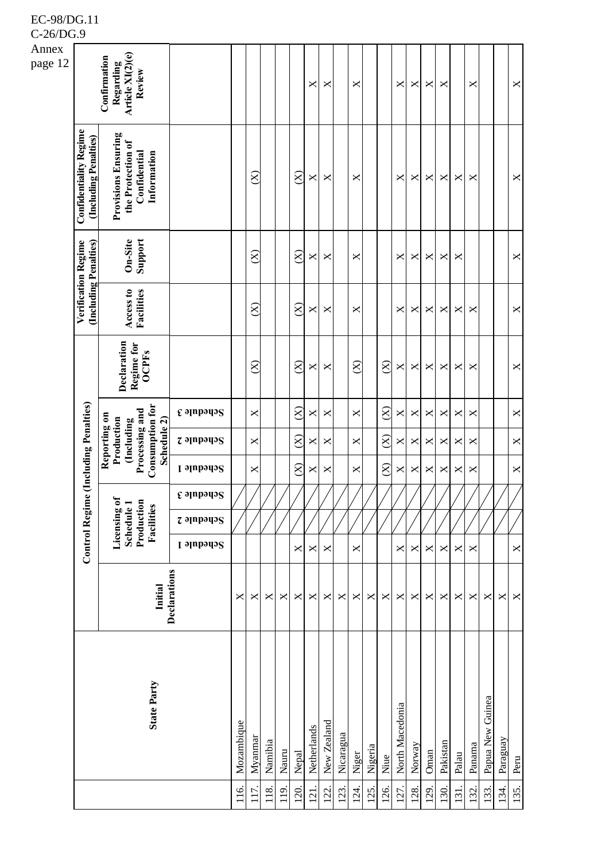| $C$ -20/DO.      |                                                        |                                                                                                     |                    |            |           |                |       |                    |                           |                |           |          |         |                    |                 |                |              |                |                |        |                  |          |                |
|------------------|--------------------------------------------------------|-----------------------------------------------------------------------------------------------------|--------------------|------------|-----------|----------------|-------|--------------------|---------------------------|----------------|-----------|----------|---------|--------------------|-----------------|----------------|--------------|----------------|----------------|--------|------------------|----------|----------------|
| Annex<br>page 12 |                                                        | Article XI(2)(e)<br>Confirmation<br>Regarding<br>Review                                             |                    |            |           |                |       |                    | $\boldsymbol{\mathsf{X}}$ | ×              |           | ×        |         |                    | X               | X              | ×            | ×              |                | ×      |                  |          | X              |
|                  | <b>Confidentiality Regime</b><br>(Including Penalties) | <b>Provisions Ensuring</b><br>the Protection of<br>Confidential<br>Information                      |                    |            | $\otimes$ |                |       | $\widehat{\infty}$ | $\times$                  | ×              |           | X        |         |                    | ×               | X              | X            | $\pmb{\times}$ | ×              | ×      |                  |          | X              |
|                  | Verification Regime                                    | Support<br>On-Site                                                                                  |                    |            | $\otimes$ |                |       | $\otimes$          | $\times$                  | ×              |           | X        |         |                    | ×               | X              | X            | ×              | ×              |        |                  |          | X              |
|                  | (Including Penalties)                                  | Facilities<br>Access to                                                                             |                    |            | $\otimes$ |                |       | $\widehat{S}$      | $\boldsymbol{\mathsf{X}}$ | ×              |           | X        |         |                    | $\pmb{\times}$  | X              | ×            | ×              | $\pmb{\times}$ | X      |                  |          | X              |
|                  |                                                        | Declaration<br>Regime for<br><b>OCPFs</b>                                                           |                    |            | $\otimes$ |                |       | $\widehat{\infty}$ | $\times$                  | ×              |           | $\infty$ |         | $\otimes$          | X               | X              | X            | ×              | ×              | ×      |                  |          | X              |
|                  |                                                        |                                                                                                     | $\epsilon$ appears |            | X         |                |       | $\otimes$          | $\boldsymbol{\mathsf{X}}$ | X              |           | X        |         | $\otimes$          | X               | $\pmb{\times}$ | $\mathsf{X}$ | $\bowtie$      | $\pmb{\times}$ | X      |                  |          | $\times$       |
|                  |                                                        | <b>Consumption for</b><br>Processing and<br>Reporting on<br>Production<br>Schedule 2)<br>(Including | $z$ apparing       |            | X         |                |       | $\widehat{\infty}$ | ×                         | ×              |           | X        |         | $\widehat{\infty}$ | X               | ×              | X            | ×              | ×              | ×      |                  |          | $\pmb{\times}$ |
|                  | (Including Penalties)                                  |                                                                                                     | <b>Schedule 1</b>  |            | X         |                |       | $\widehat{\infty}$ | $\pmb{\times}$            | $\pmb{\times}$ |           | X        |         | $\otimes$          | $\pmb{\times}$  | ×              | X            | $\pmb{\times}$ | ×              | X      |                  |          | $\mathsf{X}$   |
|                  |                                                        |                                                                                                     | દ ગામગ્યગ્§        |            |           |                |       |                    |                           |                |           |          |         |                    |                 |                |              |                |                |        |                  |          |                |
|                  | <b>Control Regime</b>                                  | Licensing of<br>Production<br>Schedule 1<br>Facilities                                              | $z$ apparis        |            |           |                |       |                    |                           |                |           |          |         |                    |                 |                |              |                |                |        |                  |          |                |
|                  |                                                        |                                                                                                     | Schedule 1         |            |           |                |       | X                  | $\pmb{\times}$            | ×              |           | X        |         |                    | X               | X              | X            | ×              | X              | ×      |                  |          | $\times$       |
|                  |                                                        | Initial                                                                                             | Declarations       | ×          | ×         | $\pmb{\times}$ | ×     | X                  | $\boldsymbol{\mathsf{X}}$ | ×              | X         | ×        | ×       | ×                  | $\pmb{\times}$  | X              | ×            | X              | ×              | ×      | $\pmb{\times}$   | ×        | $\pmb{\times}$ |
|                  |                                                        | <b>State Party</b>                                                                                  |                    | Mozambique | Myanmar   | Namibia        | Nauru | Nepal              | Netherlands               | New Zealand    | Nicaragua | Niger    | Nigeria | Niue               | North Macedonia | Norway         | Oman         | Pakistan       | Palau          | Panama | Papua New Guinea | Paraguay | Peru           |
|                  |                                                        |                                                                                                     |                    | 116.       | 117       | 118.           | 119   | 120                | 121                       | 122.           | 123.      | 124.     | 125.    | 126.               | 127.            | 128.           | 129.         | 130.           | 131            | 132.   | 133.             | 134.     | 135.           |

C-26/DG.9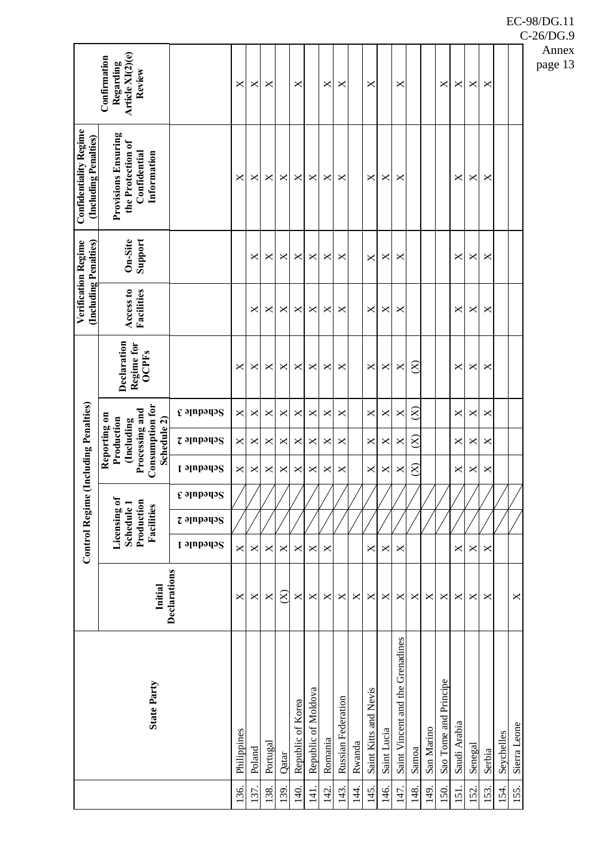| Article XI(2)(e)<br>Regarding<br>Review<br>×<br>X<br>×<br>×<br>×<br>×<br>×<br>×<br>×<br>×<br>×<br>×<br><b>Provisions Ensuring</b><br>the Protection of<br>Confidential<br>Information<br>X<br>X<br>X<br>X<br>X<br>×<br>×<br>×<br>×<br>×<br>×<br>×<br>×<br>×<br>Support<br>On-Site<br>×<br>×<br>×<br>×<br>×<br>×<br>×<br>×<br>×<br>×<br>×<br>×<br>×<br>×<br>×<br>X<br>X<br>X<br>×<br>×<br>×<br>×<br>×<br>×<br>×<br>× | e (Including Penalties)<br>Reporting on<br><b>Control Regim</b>                                                                                                                                                                  |  |  |  |  |           |                         | (Including Penalties)<br>Verification Regime | <b>Confidentiality Regime</b><br>(Including Penalties) | Confirmation |
|---------------------------------------------------------------------------------------------------------------------------------------------------------------------------------------------------------------------------------------------------------------------------------------------------------------------------------------------------------------------------------------------------------------------|----------------------------------------------------------------------------------------------------------------------------------------------------------------------------------------------------------------------------------|--|--|--|--|-----------|-------------------------|----------------------------------------------|--------------------------------------------------------|--------------|
|                                                                                                                                                                                                                                                                                                                                                                                                                     | Declaration<br>Regime for<br><b>OCPFs</b><br><b>Consumption for</b><br>Processing and<br>Schedule 2)<br>Production<br>(Including<br>↬<br>Production<br>Licensing of<br>Schedule 1<br>Facilities<br>Initial<br><b>State Party</b> |  |  |  |  |           | Access to<br>Facilities |                                              |                                                        |              |
|                                                                                                                                                                                                                                                                                                                                                                                                                     | $\epsilon$ ə $\mu$ pəq $\sigma$<br>$z$ ə $p$ əpə $q$ ə $S$<br><b>L</b> slubado <sup>2</sup><br>$\epsilon$ apparis<br><b><i>z</i></b> əlubədə2<br><b>Schedule 1</b><br>Declarations                                               |  |  |  |  |           |                         |                                              |                                                        |              |
|                                                                                                                                                                                                                                                                                                                                                                                                                     | ×<br>×<br>×<br>×<br>×<br>Philippines                                                                                                                                                                                             |  |  |  |  | ×         |                         |                                              |                                                        |              |
|                                                                                                                                                                                                                                                                                                                                                                                                                     | ×<br>×<br>×<br>×<br>×<br>Poland                                                                                                                                                                                                  |  |  |  |  | ×         |                         |                                              |                                                        |              |
|                                                                                                                                                                                                                                                                                                                                                                                                                     | ×<br>×<br>×<br>×<br>×<br>Portugal                                                                                                                                                                                                |  |  |  |  | ×         |                         |                                              |                                                        |              |
|                                                                                                                                                                                                                                                                                                                                                                                                                     | ×<br>×<br>×<br>×<br>$\otimes$<br>Qatar                                                                                                                                                                                           |  |  |  |  | ×         |                         |                                              |                                                        |              |
|                                                                                                                                                                                                                                                                                                                                                                                                                     | ×<br>×<br>×<br>X<br>X<br>Republic of Korea                                                                                                                                                                                       |  |  |  |  | ×         |                         |                                              |                                                        |              |
|                                                                                                                                                                                                                                                                                                                                                                                                                     | ×<br>×<br>×<br>×<br>×<br>Republic of Moldova                                                                                                                                                                                     |  |  |  |  | ×         |                         |                                              |                                                        |              |
|                                                                                                                                                                                                                                                                                                                                                                                                                     | ×<br>×<br>×<br>×<br>×<br>Romania                                                                                                                                                                                                 |  |  |  |  | ×         |                         |                                              |                                                        |              |
|                                                                                                                                                                                                                                                                                                                                                                                                                     | ×<br>×<br>×<br>X<br>Russian Federation                                                                                                                                                                                           |  |  |  |  | $\times$  |                         |                                              |                                                        |              |
|                                                                                                                                                                                                                                                                                                                                                                                                                     | ×<br>Rwanda                                                                                                                                                                                                                      |  |  |  |  |           |                         |                                              |                                                        |              |
|                                                                                                                                                                                                                                                                                                                                                                                                                     | ×<br>×<br>×<br>×<br>×<br>Saint Kitts and Nevis                                                                                                                                                                                   |  |  |  |  | ×         |                         |                                              |                                                        |              |
|                                                                                                                                                                                                                                                                                                                                                                                                                     | X<br>×<br>X<br>X<br>×<br>Saint Lucia                                                                                                                                                                                             |  |  |  |  | ×         |                         |                                              |                                                        |              |
|                                                                                                                                                                                                                                                                                                                                                                                                                     | X<br>×<br>X<br>×<br>X<br>Saint Vincent and the Grenadines                                                                                                                                                                        |  |  |  |  | X         |                         |                                              |                                                        |              |
|                                                                                                                                                                                                                                                                                                                                                                                                                     | $\otimes$<br>$\widehat{\infty}$<br>$\otimes$<br>×<br>Samoa                                                                                                                                                                       |  |  |  |  | $\otimes$ |                         |                                              |                                                        |              |
|                                                                                                                                                                                                                                                                                                                                                                                                                     | ×<br>San Marino                                                                                                                                                                                                                  |  |  |  |  |           |                         |                                              |                                                        |              |
|                                                                                                                                                                                                                                                                                                                                                                                                                     | ×<br>Sao Tome and Principe                                                                                                                                                                                                       |  |  |  |  |           |                         |                                              |                                                        |              |
|                                                                                                                                                                                                                                                                                                                                                                                                                     | ×<br>×<br>×<br>×<br>×<br>Saudi Arabia                                                                                                                                                                                            |  |  |  |  | ×         |                         |                                              |                                                        |              |
|                                                                                                                                                                                                                                                                                                                                                                                                                     | ×<br>×<br>×<br>X<br>X<br>Senegal                                                                                                                                                                                                 |  |  |  |  | ×         |                         |                                              |                                                        |              |
|                                                                                                                                                                                                                                                                                                                                                                                                                     | ×<br>×<br>×<br>X<br>×<br>Serbia                                                                                                                                                                                                  |  |  |  |  | ×         |                         |                                              |                                                        |              |
|                                                                                                                                                                                                                                                                                                                                                                                                                     | Seychelles                                                                                                                                                                                                                       |  |  |  |  |           |                         |                                              |                                                        |              |
|                                                                                                                                                                                                                                                                                                                                                                                                                     | X<br>Sierra Leone                                                                                                                                                                                                                |  |  |  |  |           |                         |                                              |                                                        |              |

C-26/DG.9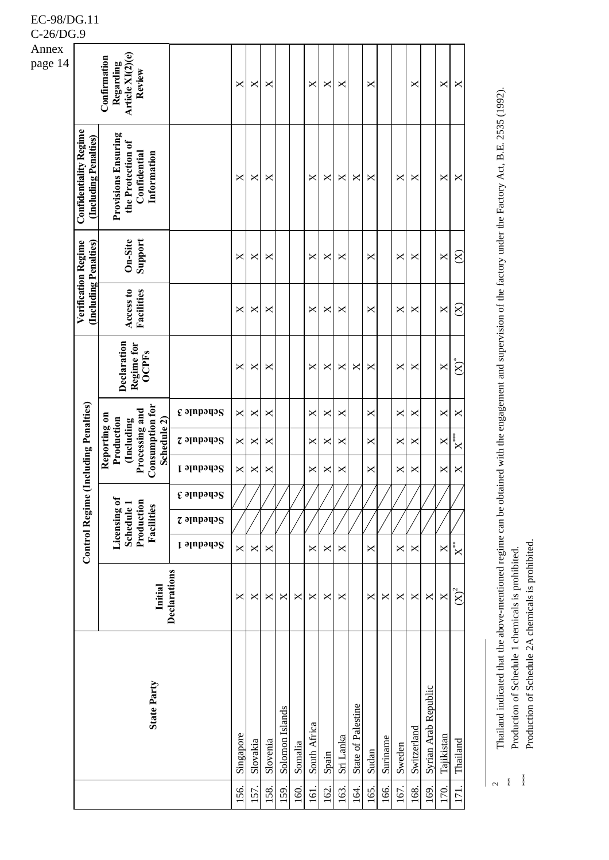| Annex   |                                                        |                                                                                                           |                          |           |          |          |                 |         |                |       |           |                    |       |          |                |             |                      |            |                             |
|---------|--------------------------------------------------------|-----------------------------------------------------------------------------------------------------------|--------------------------|-----------|----------|----------|-----------------|---------|----------------|-------|-----------|--------------------|-------|----------|----------------|-------------|----------------------|------------|-----------------------------|
| page 14 |                                                        | Article XI(2)(e)<br>Confirmation<br>Regarding<br>Review                                                   |                          | ×         | ×        | ×        |                 |         | X              | ×     | X         |                    | ×     |          |                | ×           |                      | X          | X                           |
|         | <b>Confidentiality Regime</b><br>(Including Penalties) | <b>Provisions Ensuring</b><br>the Protection of<br>Information<br>Confidential                            |                          | ×         | ×        | ×        |                 |         | X              | X     | X         | X                  | ×     |          | X              | X           |                      | ×          | X                           |
|         |                                                        | Support<br>On-Site                                                                                        |                          | ×         | ×        | ×        |                 |         | X              | ×     | X         |                    | ×     |          | ×              | X           |                      | X          | $\otimes$                   |
|         | Verification Regime<br>(Including Penalties)           | Access to<br>Facilities                                                                                   |                          | ×         | ×        | ×        |                 |         | ×              | ×     | ×         |                    | X     |          | X              | ×           |                      | X          | $\otimes$                   |
|         |                                                        | Declaration<br>Regime for<br><b>OCPFs</b>                                                                 |                          | ×         | ×        | ×        |                 |         | ×              | ×     | ×         | X                  | ×     |          | ×              | ×           |                      | X          | $\bigl(\mathbf{X}\bigr)^*$  |
|         |                                                        |                                                                                                           | <b><i>c</i></b> əlubədə2 | X         | ×        | ×        |                 |         | X              | ×     | ×         |                    | X     |          | X              | ×           |                      | ×          | X                           |
|         |                                                        | <b>Consumption for</b><br>Processing and<br>Reporting on<br>Production<br>Schedule 2)<br><b>Including</b> | $z$ apparis              | ×         | ×        | ×        |                 |         | ×              | ×     | ×         |                    | X     |          | ×              | ×           |                      | X          | $\mathbf{X}^{***}$          |
|         | Control Regime (Including Penalties)                   |                                                                                                           | Schedule 1               | X         | X        | ×        |                 |         | X              | ×     | ×         |                    | X     |          | $\pmb{\times}$ | X           |                      | X          | X                           |
|         |                                                        | Licensing of<br>Production<br>Schedule 1<br>Facilities                                                    | <b>E</b> slubbring       |           |          |          |                 |         |                |       |           |                    |       |          |                |             |                      |            |                             |
|         |                                                        |                                                                                                           | $z$ apparis              |           |          |          |                 |         |                |       |           |                    |       |          |                |             |                      |            |                             |
|         |                                                        |                                                                                                           | Schedule 1               | X         | ×        | ×        |                 |         | ×              | ×     | X         |                    | ×     |          | X              | X           |                      | X          | $\mathbf{x}^*$              |
|         |                                                        | Initial                                                                                                   | Declarations             | ×         | ×        | ×        | X               | ×       | ×              | ×     | ×         |                    | ×     | X        | ×              | ×           | ×                    | X          | $\left(\mathbf{X}\right)^2$ |
|         |                                                        | <b>State Party</b>                                                                                        |                          | Singapore | Slovakia | Slovenia | Solomon Islands | Somalia | South Africa   | Spain | Sri Lanka | State of Palestine | Sudan | Suriname | Sweden         | Switzerland | Syrian Arab Republic | Tajikistan | Thailand                    |
|         |                                                        |                                                                                                           |                          | 56.       | 57.      | 58.      | 59.             | 60.     | $\overline{5}$ | 162.  | 163.      | $\overline{4}$     | 165.  | 166.     | 167.           | 168.        | 169.                 | 170.       | 171.                        |

Thailand indicated that the above-mentioned regime can be obtained with the engagement and supervision of the factory under the Factory Act, B.E. 2535 (1992). Thailand indicated that the above-mentioned regime can be obtained with the engagement and supervision of the factory under the Factory Act, B.E. 2535 (1992).

Production of Schedule 2A chemicals is prohibited. Production of Schedule 2A chemicals is prohibited.Production of Schedule 1 chemicals is prohibited. Production of Schedule 1 chemicals is prohibited.

 $\overline{c}$ 

\*\*

\*\*\*

EC-98/DG.11 C-26/DG.9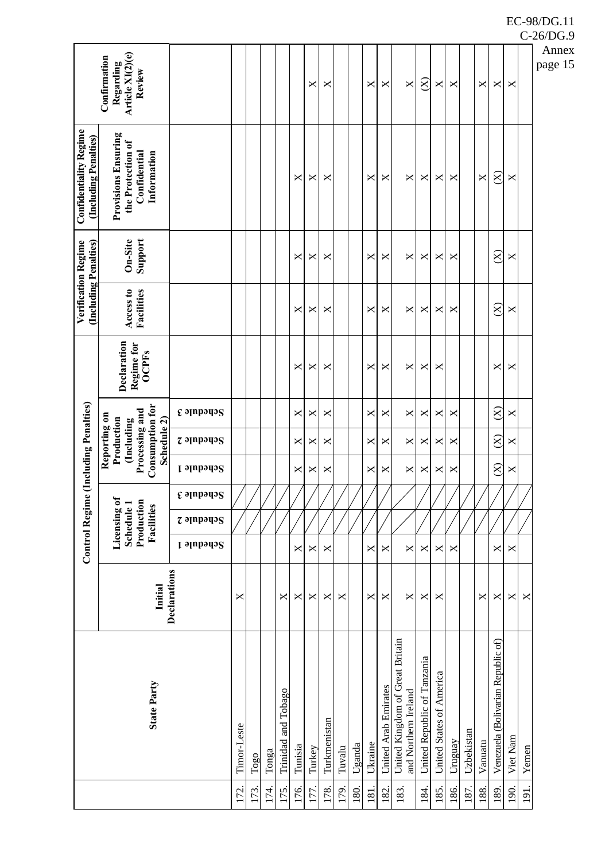|                                                        | Article XI(2)(e)<br>Confirmation<br>Regarding<br>Review                                             |                                  |             |             |       |                     |         | ×      | ×            |        |        | ×       | X                    | $\mathsf{X}$                                            | $\otimes$                   | $\times$                 | ×       |            | X       | ×                                  | ×        |       | A<br>pa |
|--------------------------------------------------------|-----------------------------------------------------------------------------------------------------|----------------------------------|-------------|-------------|-------|---------------------|---------|--------|--------------|--------|--------|---------|----------------------|---------------------------------------------------------|-----------------------------|--------------------------|---------|------------|---------|------------------------------------|----------|-------|---------|
| <b>Confidentiality Regime</b><br>(Including Penalties) | <b>Provisions Ensuring</b><br>the Protection of<br>Information<br>Confidential                      |                                  |             |             |       |                     | ×       | ×      | ×            |        |        | ×       | X                    | X                                                       | ×                           | ×                        | ×       |            | X       | $\otimes$                          | X        |       |         |
|                                                        | Support<br>On-Site                                                                                  |                                  |             |             |       |                     | ×       | ×      | ×            |        |        | ×       | ×                    | ×                                                       | ×                           | ×                        | ×       |            |         | $\otimes$                          | X        |       |         |
| (Including Penalties)<br><b>Verification Regime</b>    | Access to<br>Facilities                                                                             |                                  |             |             |       |                     | ×       | ×      | ×            |        |        | ×       | ×                    | ×                                                       | ×                           | ×                        | ×       |            |         | $\otimes$                          | X        |       |         |
|                                                        | Declaration<br>Regime for<br><b>OCPFs</b>                                                           |                                  |             |             |       |                     | ×       | ×      | ×            |        |        | ×       | ×                    | X                                                       | ×                           | ×                        |         |            |         | ×                                  | X        |       |         |
|                                                        |                                                                                                     | $\epsilon$ alubado $\epsilon$    |             |             |       |                     | ×       | ×      | ×            |        |        | ×       | ×                    | ×                                                       | ×                           | ×                        | ×       |            |         | $\otimes$                          | X        |       |         |
|                                                        | <b>Consumption for</b><br>Processing and<br>Reporting on<br>Schedule 2)<br>Production<br>(Including | <b><i><u>Z</u></i></b> əlubədə 2 |             |             |       |                     | X       | ×      | X            |        |        | ×       | ×                    | ×                                                       | ×                           | ×                        | ×       |            |         | $\widehat{S}$                      | X        |       |         |
| e (Including Penalties)                                |                                                                                                     | Schedule 1                       |             |             |       |                     | X       | ×      | X            |        |        | ×       | ×                    | ×                                                       | ×                           | ×                        | ×       |            |         | $\otimes$                          | X        |       |         |
|                                                        |                                                                                                     | $\epsilon$ alubado $\epsilon$    |             |             |       |                     |         |        |              |        |        |         |                      |                                                         |                             |                          |         |            |         |                                    |          |       |         |
|                                                        | Production<br>Licensing of<br>Schedule 1<br>Facilities                                              | $z$ apparis                      |             |             |       |                     |         |        |              |        |        |         |                      |                                                         |                             |                          |         |            |         |                                    |          |       |         |
| <b>Control Regim</b>                                   |                                                                                                     | <b>Schedule 1</b>                |             |             |       |                     | ×       | ×      | X            |        |        | ×       | X                    | ×                                                       | ×                           | ×                        | ×       |            |         | ×                                  | X        |       |         |
|                                                        | Initial                                                                                             | Declarations                     | ×           |             |       | ×                   | ×       | ×      | ×            | ×      |        | ×       | ×                    | ×                                                       | ×                           | ×                        |         |            | ×       | ×                                  | X        | ×     |         |
|                                                        | <b>State Party</b>                                                                                  |                                  | Timor-Leste | $\rm{Togo}$ | Tonga | Trinidad and Tobago | Tunisia | Turkey | Turkmenistan | Tuvalu | Uganda | Ukraine | United Arab Emirates | United Kingdom of Great Britain<br>and Northern Ireland | United Republic of Tanzania | United States of America | Uruguay | Uzbekistan | Vanuatu | Venezuela (Bolivarian Republic of) | Viet Nam | Yemen |         |
|                                                        |                                                                                                     |                                  | 72.         | 13.         | 74.   | 175.                | 176.    | 77.    | 178.         | 79.    | 180.   | 181.    | 182.                 | 183.                                                    | 184.                        | .85                      | 186.    | 187.       | 188.    | 189.                               | 190.     | 191   |         |

C-26/DG.9

Annex age 15